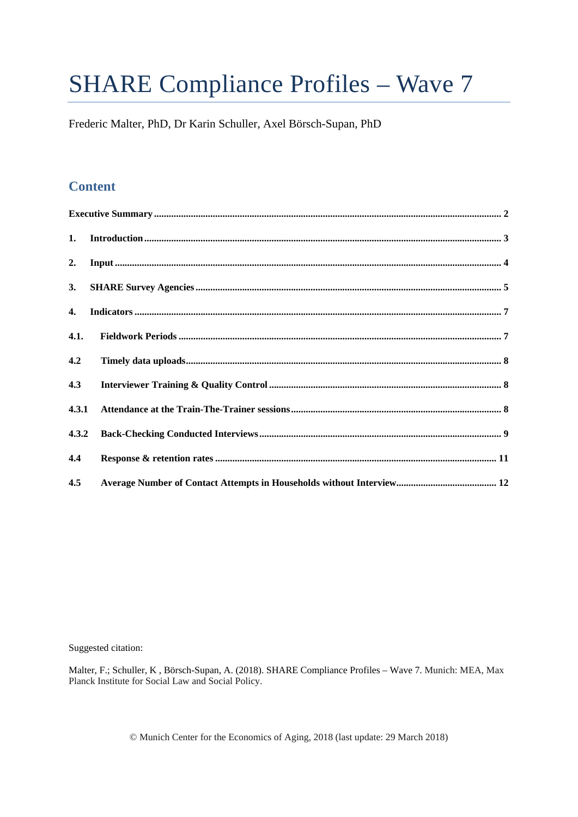# **SHARE Compliance Profiles - Wave 7**

Frederic Malter, PhD, Dr Karin Schuller, Axel Börsch-Supan, PhD

# **Content**

| 1.           |  |
|--------------|--|
| 2.           |  |
| 3.           |  |
| $\mathbf{4}$ |  |
| 4.1.         |  |
| 4.2          |  |
| 4.3          |  |
| 4.3.1        |  |
| 4.3.2        |  |
| 4.4          |  |
| 4.5          |  |

Suggested citation:

Malter, F.; Schuller, K., Börsch-Supan, A. (2018). SHARE Compliance Profiles - Wave 7. Munich: MEA, Max Planck Institute for Social Law and Social Policy.

© Munich Center for the Economics of Aging, 2018 (last update: 29 March 2018)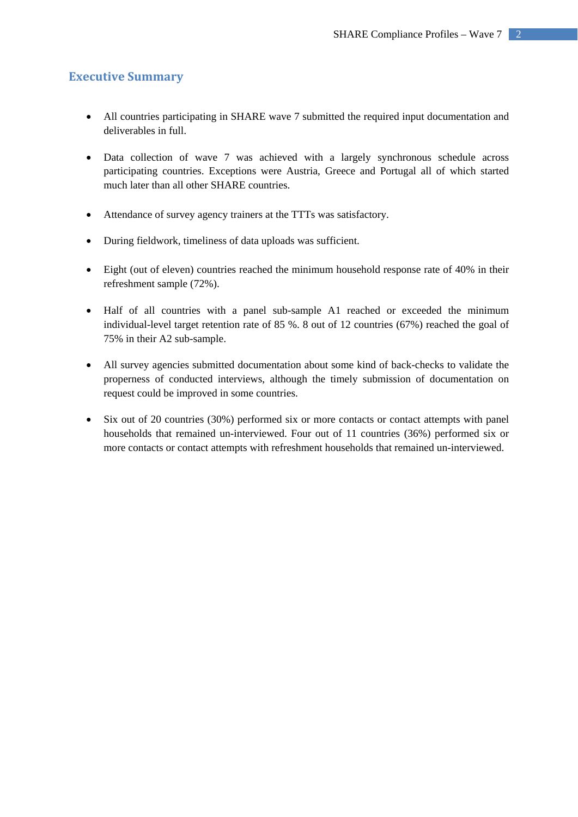# **Executive Summary**

- All countries participating in SHARE wave 7 submitted the required input documentation and deliverables in full.
- Data collection of wave 7 was achieved with a largely synchronous schedule across participating countries. Exceptions were Austria, Greece and Portugal all of which started much later than all other SHARE countries.
- Attendance of survey agency trainers at the TTTs was satisfactory.
- During fieldwork, timeliness of data uploads was sufficient.
- Eight (out of eleven) countries reached the minimum household response rate of 40% in their refreshment sample (72%).
- Half of all countries with a panel sub-sample A1 reached or exceeded the minimum individual-level target retention rate of 85 %. 8 out of 12 countries (67%) reached the goal of 75% in their A2 sub-sample.
- All survey agencies submitted documentation about some kind of back-checks to validate the properness of conducted interviews, although the timely submission of documentation on request could be improved in some countries.
- Six out of 20 countries (30%) performed six or more contacts or contact attempts with panel households that remained un-interviewed. Four out of 11 countries (36%) performed six or more contacts or contact attempts with refreshment households that remained un-interviewed.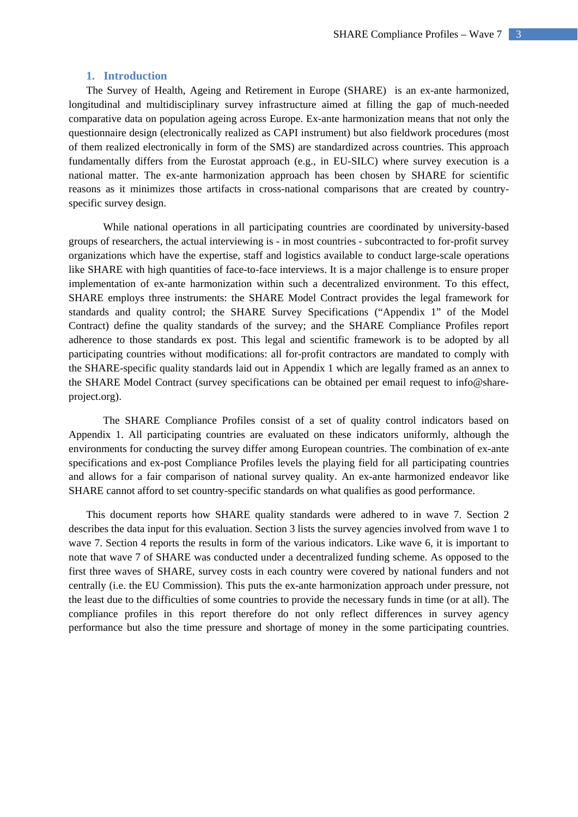#### **1. Introduction**

The Survey of Health, Ageing and Retirement in Europe (SHARE) is an ex-ante harmonized, longitudinal and multidisciplinary survey infrastructure aimed at filling the gap of much-needed comparative data on population ageing across Europe. Ex-ante harmonization means that not only the questionnaire design (electronically realized as CAPI instrument) but also fieldwork procedures (most of them realized electronically in form of the SMS) are standardized across countries. This approach fundamentally differs from the Eurostat approach (e.g., in EU-SILC) where survey execution is a national matter. The ex-ante harmonization approach has been chosen by SHARE for scientific reasons as it minimizes those artifacts in cross-national comparisons that are created by countryspecific survey design.

While national operations in all participating countries are coordinated by university-based groups of researchers, the actual interviewing is - in most countries - subcontracted to for-profit survey organizations which have the expertise, staff and logistics available to conduct large-scale operations like SHARE with high quantities of face-to-face interviews. It is a major challenge is to ensure proper implementation of ex-ante harmonization within such a decentralized environment. To this effect, SHARE employs three instruments: the SHARE Model Contract provides the legal framework for standards and quality control; the SHARE Survey Specifications ("Appendix 1" of the Model Contract) define the quality standards of the survey; and the SHARE Compliance Profiles report adherence to those standards ex post. This legal and scientific framework is to be adopted by all participating countries without modifications: all for-profit contractors are mandated to comply with the SHARE-specific quality standards laid out in Appendix 1 which are legally framed as an annex to the SHARE Model Contract (survey specifications can be obtained per email request to info@shareproject.org).

The SHARE Compliance Profiles consist of a set of quality control indicators based on Appendix 1. All participating countries are evaluated on these indicators uniformly, although the environments for conducting the survey differ among European countries. The combination of ex-ante specifications and ex-post Compliance Profiles levels the playing field for all participating countries and allows for a fair comparison of national survey quality. An ex-ante harmonized endeavor like SHARE cannot afford to set country-specific standards on what qualifies as good performance.

This document reports how SHARE quality standards were adhered to in wave 7. Section 2 describes the data input for this evaluation. Section 3 lists the survey agencies involved from wave 1 to wave 7. Section 4 reports the results in form of the various indicators. Like wave 6, it is important to note that wave 7 of SHARE was conducted under a decentralized funding scheme. As opposed to the first three waves of SHARE, survey costs in each country were covered by national funders and not centrally (i.e. the EU Commission). This puts the ex-ante harmonization approach under pressure, not the least due to the difficulties of some countries to provide the necessary funds in time (or at all). The compliance profiles in this report therefore do not only reflect differences in survey agency performance but also the time pressure and shortage of money in the some participating countries.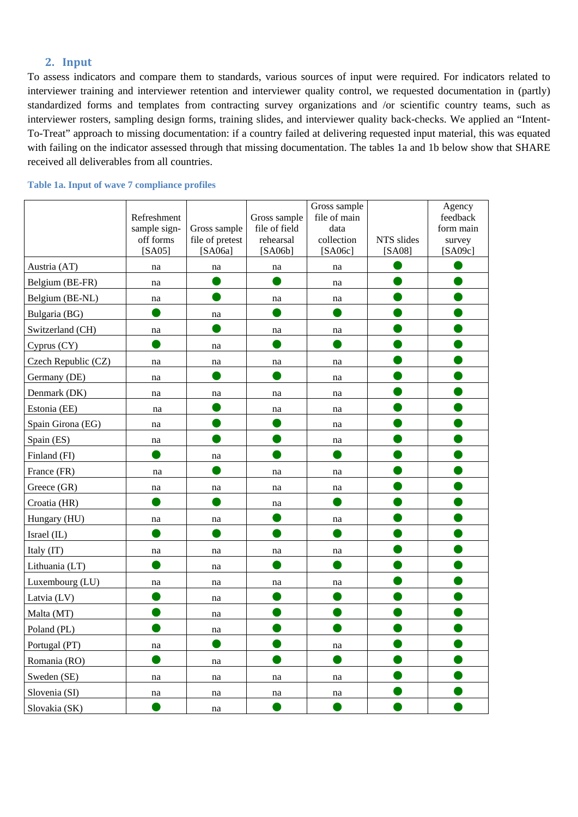# 2. **Input**

To assess indicators and compare them to standards, various sources of input were required. For indicators related to interviewer training and interviewer retention and interviewer quality control, we requested documentation in (partly) standardized forms and templates from contracting survey organizations and /or scientific country teams, such as interviewer rosters, sampling design forms, training slides, and interviewer quality back-checks. We applied an "Intent-To-Treat" approach to missing documentation: if a country failed at delivering requested input material, this was equated with failing on the indicator assessed through that missing documentation. The tables 1a and 1b below show that SHARE received all deliverables from all countries.

|                     | Refreshment<br>sample sign- | Gross sample        | Gross sample<br>file of field | Gross sample<br>file of main<br>data |            | Agency<br>feedback<br>form main |
|---------------------|-----------------------------|---------------------|-------------------------------|--------------------------------------|------------|---------------------------------|
|                     | off forms                   | file of pretest     | rehearsal                     | collection                           | NTS slides | survey                          |
|                     | [SA05]                      | [SA06a]             | [SA06b]                       | [SA06c]                              | [SA08]     | [SA09c]                         |
| Austria (AT)        | na                          | na                  | na                            | na                                   |            |                                 |
| Belgium (BE-FR)     | na                          |                     |                               | na                                   |            |                                 |
| Belgium (BE-NL)     | na                          |                     | na                            | na                                   |            |                                 |
| Bulgaria (BG)       |                             | na                  |                               |                                      |            |                                 |
| Switzerland (CH)    | na                          |                     | na                            | na                                   |            |                                 |
| Cyprus (CY)         |                             | na                  |                               |                                      |            |                                 |
| Czech Republic (CZ) | na                          | na                  | na                            | na                                   |            |                                 |
| Germany (DE)        | na                          |                     |                               | na                                   |            |                                 |
| Denmark (DK)        | na                          | na                  | na                            | na                                   |            |                                 |
| Estonia (EE)        | na                          |                     | na                            | na                                   |            |                                 |
| Spain Girona (EG)   | na                          |                     |                               | na                                   |            |                                 |
| Spain (ES)          | na                          |                     |                               | na                                   |            |                                 |
| Finland (FI)        |                             | na                  |                               |                                      |            |                                 |
| France (FR)         | na                          |                     | na                            | na                                   |            |                                 |
| Greece (GR)         | na                          | na                  | na                            | na                                   |            |                                 |
| Croatia (HR)        |                             |                     | na                            |                                      |            |                                 |
| Hungary (HU)        | na                          | na                  |                               | na                                   |            |                                 |
| Israel (IL)         |                             |                     |                               |                                      |            |                                 |
| Italy (IT)          | na                          | na                  | na                            | na                                   |            |                                 |
| Lithuania (LT)      |                             | na                  |                               |                                      |            |                                 |
| Luxembourg (LU)     | na                          | na                  | na                            | na                                   |            |                                 |
| Latvia (LV)         |                             | na                  |                               |                                      |            |                                 |
| Malta (MT)          |                             | na                  |                               |                                      |            |                                 |
| Poland (PL)         |                             | na                  |                               |                                      |            |                                 |
| Portugal (PT)       | na                          |                     |                               | na                                   |            |                                 |
| Romania (RO)        |                             | na                  |                               |                                      |            |                                 |
| Sweden (SE)         | na                          | na                  | na                            | na                                   |            |                                 |
| Slovenia (SI)       | na                          | na                  | na                            | na                                   |            |                                 |
| Slovakia (SK)       |                             | $\operatorname{na}$ |                               |                                      |            |                                 |

#### **Table 1a. Input of wave 7 compliance profiles**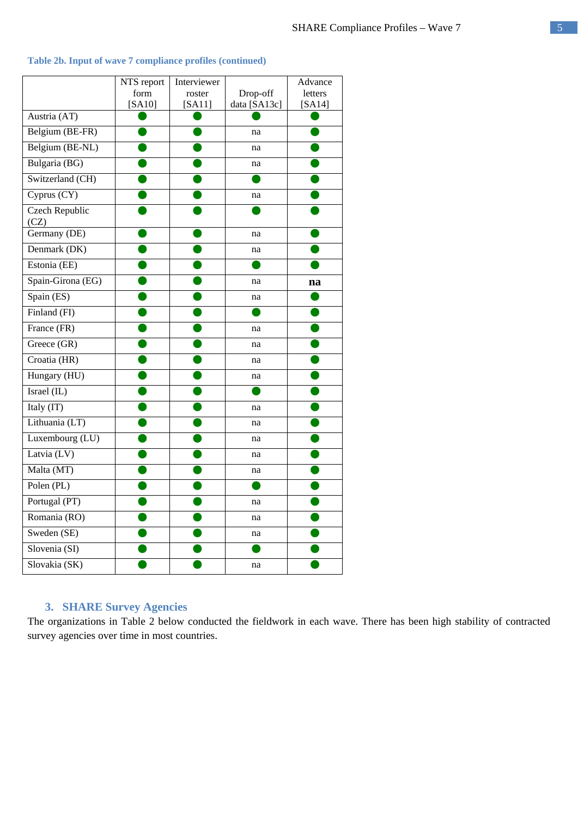|                         | NTS report<br>form | Interviewer<br>roster | Drop-off     | Advance<br>letters |
|-------------------------|--------------------|-----------------------|--------------|--------------------|
|                         | [SA10]             | [SA11]                | data [SA13c] | [SA14]             |
| Austria (AT)            |                    |                       |              |                    |
| Belgium (BE-FR)         |                    |                       | na           |                    |
| Belgium (BE-NL)         |                    |                       | na           |                    |
| Bulgaria (BG)           |                    |                       | na           |                    |
| Switzerland (CH)        |                    |                       |              |                    |
| Cyprus (CY)             |                    |                       | na           |                    |
| Czech Republic<br>(CZ)  |                    |                       |              |                    |
| Germany (DE)            |                    |                       | na           |                    |
| Denmark (DK)            |                    |                       | na           |                    |
| Estonia (EE)            |                    |                       |              |                    |
| Spain-Girona (EG)       |                    |                       | na           | na                 |
| Spain (ES)              |                    |                       | na           |                    |
| Finland (FI)            |                    |                       |              |                    |
| France (FR)             |                    |                       | na           |                    |
| Greece (GR)             |                    |                       | na           |                    |
| Croatia (HR)            |                    |                       | na           |                    |
| Hungary (HU)            |                    |                       | na           |                    |
| Israel (IL)             |                    |                       |              |                    |
| Italy (IT)              |                    |                       | na           |                    |
| Lithuania (LT)          |                    |                       | na           |                    |
| Luxembourg (LU)         |                    |                       | na           |                    |
| Latvia (LV)             |                    |                       | na           |                    |
| Malta (MT)              |                    |                       | na           |                    |
| Polen $(\overline{PL)}$ |                    |                       |              |                    |
| Portugal (PT)           |                    |                       | na           |                    |
| Romania (RO)            |                    |                       | na           |                    |
| Sweden (SE)             |                    |                       | na           |                    |
| Slovenia (SI)           |                    |                       |              |                    |
| Slovakia (SK)           |                    |                       | na           |                    |

## **Table 2b. Input of wave 7 compliance profiles (continued)**

# **3. SHARE Survey Agencies**

The organizations in Table 2 below conducted the fieldwork in each wave. There has been high stability of contracted survey agencies over time in most countries.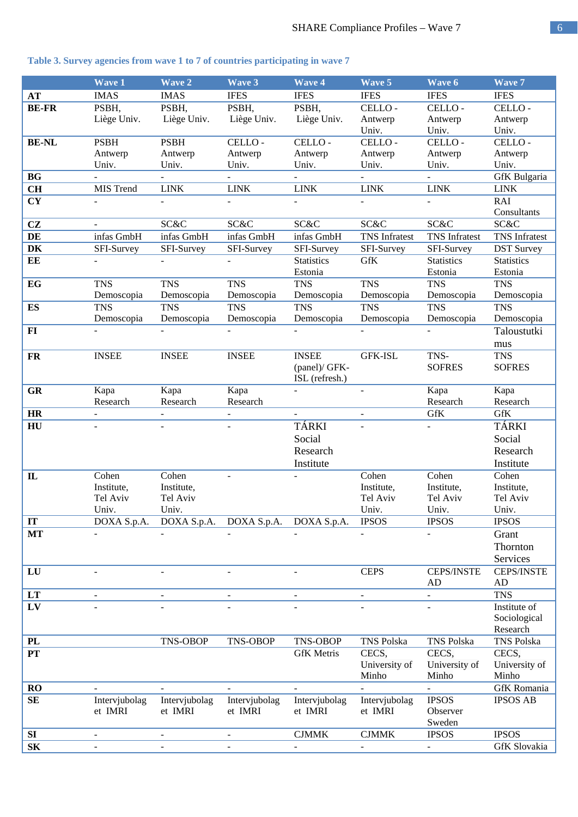#### **Wave 1 Wave 2 Wave 3 Wave 4 Wave 5 Wave 6 Wave 7 AT** IMAS IMAS IFES IFES IFES IFES IFES **BE-FR** PSBH, Liège Univ. PSBH, Liège Univ. PSBH, Liège Univ. PSBH, Liège Univ. CELLO - Antwerp Univ. CELLO - Antwerp Univ. CELLO - Antwerp Univ. **BE-NL** PSBH Antwerp Univ. **PSBH** Antwerp Univ. CELLO - Antwerp Univ. CELLO - Antwerp Univ. CELLO - Antwerp Univ. CELLO - Antwerp Univ. CELLO - Antwerp Univ. **BG -** - - - - - - - - - - - - - - - - GfK Bulgaria **CH** MIS Trend LINK LINK LINK LINK LINK LINK **CY** - - - - - - - - - - - - - RAI Consultants **CZ** - SC&C SC&C SC&C SC&C SC&C SC&C **DE** infas GmbH infas GmbH infas GmbH infas GmbH TNS Infratest TNS Infratest TNS Infratest **DK** SFI-Survey SFI-Survey SFI-Survey SFI-Survey SFI-Survey SFI-Survey DST Survey **EE** Statistics Estonia GfK Statistics Estonia **Statistics** Estonia **EG** TNS Demoscopia TNS Demoscopia TNS Demoscopia TNS Demoscopia TNS Demoscopia TNS Demoscopia TNS Demoscopia **ES** TNS Demoscopia **TNS** Demoscopia TNS Demoscopia TNS Demoscopia TNS Demoscopia TNS Demoscopia TNS Demoscopia **FI -** - - - - - - - - - - - - - - - Taloustutki mus **FR** INSEE INSEE INSEE INSEE (panel)/ GFK-ISL (refresh.) GFK-ISL TNS-**SOFRES** TNS **SOFRES GR** Kapa Research Kapa Research Kapa Research Kapa Research Kapa Research **HR** - - - - - GfK GfK **HU** - - - TÁRKI Social Research Institute - - TÁRKI Social Research **Institute IL** Cohen Institute, Tel Aviv Univ. Cohen Institute, Tel Aviv Univ. Cohen Institute, Tel Aviv Univ. Cohen Institute, Tel Aviv Univ. Cohen Institute, Tel Aviv Univ. **IT** DOXA S.p.A. DOXA S.p.A. DOXA S.p.A. DOXA S.p.A. IPSOS IPSOS IPSOS **MT -** - - - - - - - - - - - - Grant Thornton **Services LU** - - - - CEPS CEPS/INSTE AD CEPS/INSTE AD **LT** - - - - - - TNS **LV** - The set of  $\overline{a}$  -  $\overline{a}$  -  $\overline{a}$  -  $\overline{a}$  institute of Sociological Research **PL** TNS-OBOP TNS-OBOP TNS-OBOP TNS Polska TNS Polska TNS Polska **PT** GfK Metris CECS, University of Minho CECS, University of Minho CECS, University of Minho **RO -** GfK Romania **SE** Intervjubolag et IMRI Intervjubolag et IMRI Intervjubolag et IMRI Intervjubolag et IMRI Intervjubolag et IMRI IPSOS Observer Sweden IPSOS AB **SI** - - - CJMMK CJMMK IPSOS IPSOS **SK** - - - - - - - - - - - - - - - - GfK Slovakia

#### **Table 3. Survey agencies from wave 1 to 7 of countries participating in wave 7**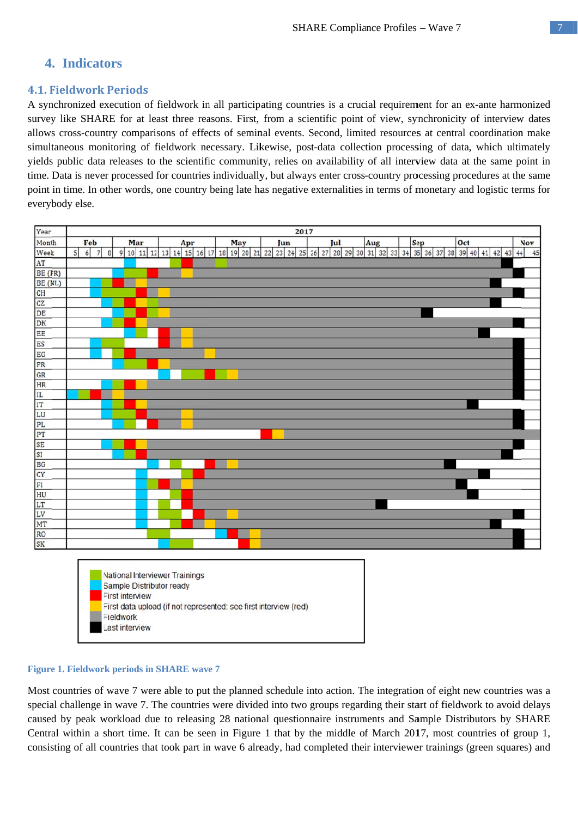# 4. Indicators

# **4.1. Fieldwork Periods**

A synchronized execution of fieldwork in all participating countries is a crucial requirement for an ex-ante harmonized survey like SHARE for at least three reasons. First, from a scientific point of view, synchronicity of interview dates allows cross-country comparisons of effects of seminal events. Second, limited resources at central coordination make simultaneous monitoring of fieldwork necessary. Likewise, post-data collection processing of data, which ultimately yields public data releases to the scientific community, relies on availability of all interview data at the same point in time. Data is never processed for countries individually, but always enter cross-country processing procedures at the same point in time. In other words, one country being late has negative externalities in terms of monetary and logistic terms for everybody else.



#### **Figure 1. Fieldwork periods in SHARE wave 7**

Last interview

Most countries of wave 7 were able to put the planned schedule into action. The integration of eight new countries was a special challenge in wave 7. The countries were divided into two groups regarding their start of fieldwork to avoid delays caused by peak workload due to releasing 28 national questionnaire instruments and Sample Distributors by SHARE Central within a short time. It can be seen in Figure 1 that by the middle of March 2017, most countries of group 1, consisting of all countries that took part in wave 6 already, had completed their interviewer trainings (green squares) and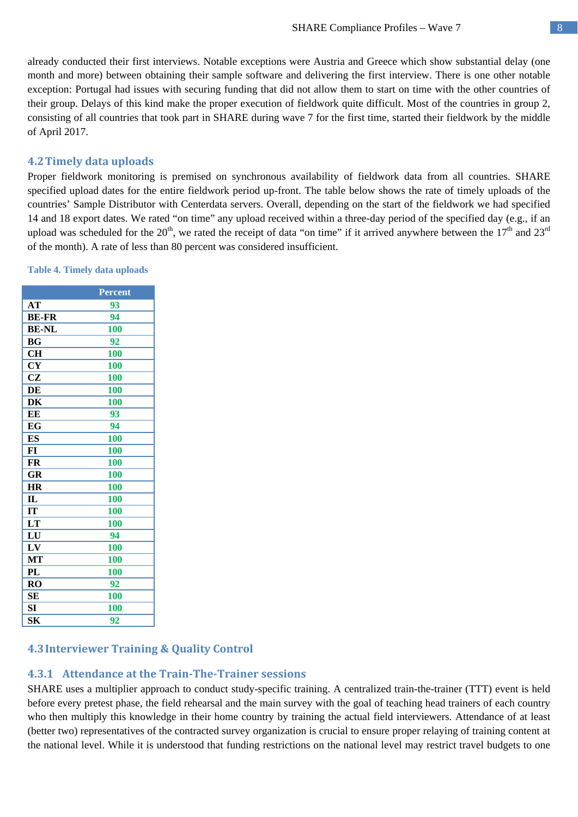already conducted their first interviews. Notable exceptions were Austria and Greece which show substantial delay (one month and more) between obtaining their sample software and delivering the first interview. There is one other notable exception: Portugal had issues with securing funding that did not allow them to start on time with the other countries of their group. Delays of this kind make the proper execution of fieldwork quite difficult. Most of the countries in group 2, consisting of all countries that took part in SHARE during wave 7 for the first time, started their fieldwork by the middle of April 2017.

# **4.2Timely data uploads**

Proper fieldwork monitoring is premised on synchronous availability of fieldwork data from all countries. SHARE specified upload dates for the entire fieldwork period up-front. The table below shows the rate of timely uploads of the countries' Sample Distributor with Centerdata servers. Overall, depending on the start of the fieldwork we had specified 14 and 18 export dates. We rated "on time" any upload received within a three-day period of the specified day (e.g., if an upload was scheduled for the  $20<sup>th</sup>$ , we rated the receipt of data "on time" if it arrived anywhere between the  $17<sup>th</sup>$  and  $23<sup>rd</sup>$ of the month). A rate of less than 80 percent was considered insufficient.

|               | <b>Percent</b> |
|---------------|----------------|
| AT            | 93             |
| <b>BE-FR</b>  | 94             |
| <b>BE-NL</b>  | 100            |
| BG            | 92             |
| <b>CH</b>     | 100            |
| <b>CY</b>     | 100            |
| <b>CZ</b>     | 100            |
| DE            | 100            |
| DK            | 100            |
| EE            | 93             |
| <b>EG</b>     | 94             |
| ES            | 100            |
| FI            | 100            |
| FR            | 100            |
| GR            | 100            |
| <b>HR</b>     | 100            |
| $\mathbf{IL}$ | 100            |
| <b>IT</b>     | 100            |
| LT            | 100            |
| LU            | 94             |
| LV            | 100            |
| МT            | 100            |
| PL            | <b>100</b>     |
| <b>RO</b>     | 92             |
| <b>SE</b>     | 100            |
| <b>SI</b>     | 100            |
| SК            | 92             |

#### **Table 4. Timely data uploads**

# **4.3Interviewer Training & Quality Control**

# **4.3.1 Attendance at the Train‐The‐Trainer sessions**

SHARE uses a multiplier approach to conduct study-specific training. A centralized train-the-trainer (TTT) event is held before every pretest phase, the field rehearsal and the main survey with the goal of teaching head trainers of each country who then multiply this knowledge in their home country by training the actual field interviewers. Attendance of at least (better two) representatives of the contracted survey organization is crucial to ensure proper relaying of training content at the national level. While it is understood that funding restrictions on the national level may restrict travel budgets to one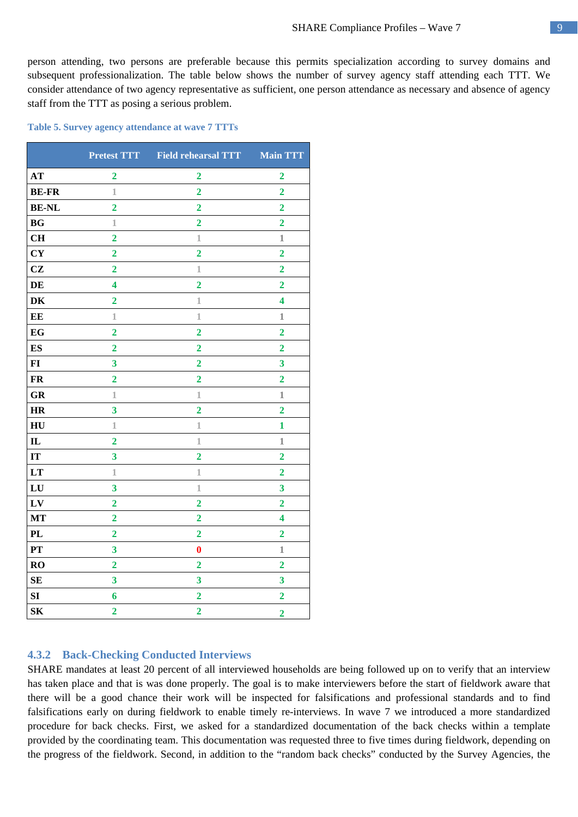person attending, two persons are preferable because this permits specialization according to survey domains and subsequent professionalization. The table below shows the number of survey agency staff attending each TTT. We consider attendance of two agency representative as sufficient, one person attendance as necessary and absence of agency staff from the TTT as posing a serious problem.

#### **Table 5. Survey agency attendance at wave 7 TTTs**

|                  |                         | Pretest TTT Field rehearsal TTT Main TTT |                         |
|------------------|-------------------------|------------------------------------------|-------------------------|
| AT               | $\overline{2}$          | $\overline{2}$                           | $\overline{2}$          |
| <b>BE-FR</b>     | $\mathbf 1$             | $\overline{2}$                           | $\overline{2}$          |
| <b>BE-NL</b>     | $\overline{2}$          | $\overline{2}$                           | $\overline{2}$          |
| BG               | $\mathbbm{1}$           | $\overline{2}$                           | $\overline{2}$          |
| CH               | $\overline{\mathbf{2}}$ | $\mathbf{1}$                             | $1\hskip-3.6pt\relax$   |
| CY               | $\overline{2}$          | $\overline{2}$                           | $\overline{2}$          |
| CZ               | $\overline{2}$          | $1\hskip-3.5pt1$                         | $\overline{2}$          |
| DE               | 4                       | $\overline{2}$                           | $\overline{2}$          |
| DK               | $\overline{2}$          | $\mathbbm{1}$                            | $\overline{\mathbf{4}}$ |
| EE               | $1\,$                   | $1\,$                                    | $\mathbbm{1}$           |
| EG               | $\overline{2}$          | $\overline{2}$                           | $\overline{2}$          |
| <b>ES</b>        | $\overline{2}$          | $\overline{2}$                           | $\overline{2}$          |
| $\mathbf{FI}$    | $\overline{\mathbf{3}}$ | $\overline{2}$                           | $\overline{\mathbf{3}}$ |
| <b>FR</b>        | $\overline{2}$          | $\overline{2}$                           | $\overline{2}$          |
| <b>GR</b>        | 1                       | 1                                        | 1                       |
| <b>HR</b>        | $\overline{\mathbf{3}}$ | $\overline{2}$                           | $\overline{2}$          |
| H <sub>U</sub>   | $\mathbbm{1}$           | $1\,$                                    | $\mathbf{1}$            |
| $\mathbf{I}$     | $\overline{2}$          | $\mathbbm{1}$                            | $\mathbf{1}$            |
| IT               | $\overline{\mathbf{3}}$ | $\overline{2}$                           | $\overline{2}$          |
| LT               | $\mathbf 1$             | $\mathbbm{1}$                            | $\overline{2}$          |
| ${\bf L}{\bf U}$ | 3                       | 1                                        | $\overline{\mathbf{3}}$ |
| ${\bf L}{\bf V}$ | $\overline{2}$          | $\overline{\mathbf{2}}$                  | $\overline{\mathbf{2}}$ |
| MT               | $\overline{2}$          | $\overline{2}$                           | $\overline{\mathbf{4}}$ |
| PL               | $\overline{2}$          | $\overline{2}$                           | $\overline{2}$          |
| PT               | $\overline{\mathbf{3}}$ | $\bf{0}$                                 | $\mathbf{1}$            |
| RO               | $\overline{2}$          | $\overline{2}$                           | $\overline{2}$          |
| <b>SE</b>        | 3                       | 3                                        | 3                       |
| SI               | 6                       | $\overline{2}$                           | $\overline{2}$          |
| S <sub>K</sub>   | $\overline{2}$          | $\overline{2}$                           | $\overline{2}$          |

# **4.3.2 Back-Checking Conducted Interviews**

SHARE mandates at least 20 percent of all interviewed households are being followed up on to verify that an interview has taken place and that is was done properly. The goal is to make interviewers before the start of fieldwork aware that there will be a good chance their work will be inspected for falsifications and professional standards and to find falsifications early on during fieldwork to enable timely re-interviews. In wave 7 we introduced a more standardized procedure for back checks. First, we asked for a standardized documentation of the back checks within a template provided by the coordinating team. This documentation was requested three to five times during fieldwork, depending on the progress of the fieldwork. Second, in addition to the "random back checks" conducted by the Survey Agencies, the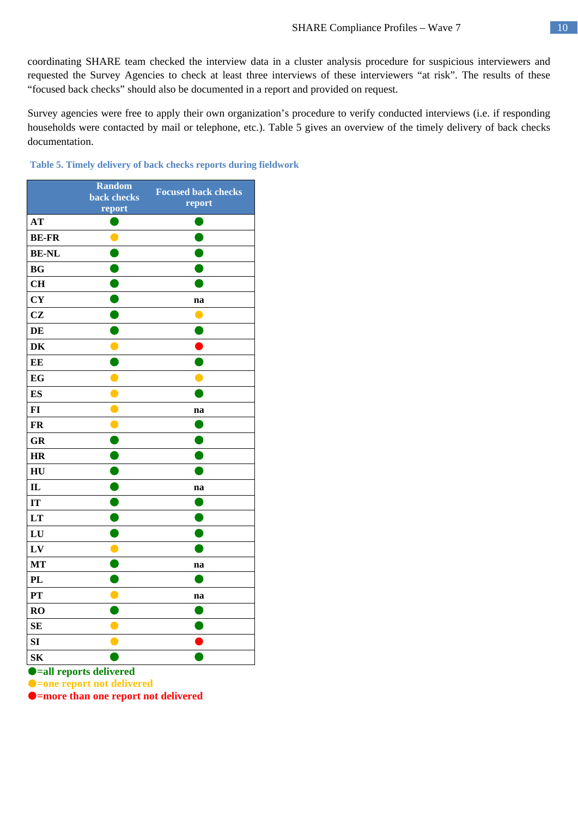coordinating SHARE team checked the interview data in a cluster analysis procedure for suspicious interviewers and requested the Survey Agencies to check at least three interviews of these interviewers "at risk". The results of these "focused back checks" should also be documented in a report and provided on request.

Survey agencies were free to apply their own organization's procedure to verify conducted interviews (i.e. if responding households were contacted by mail or telephone, etc.). Table 5 gives an overview of the timely delivery of back checks documentation.

|                | <b>Random</b> | <b>Focused back checks</b>                 |
|----------------|---------------|--------------------------------------------|
|                | back checks   | report                                     |
| AT             | report        |                                            |
|                |               |                                            |
| <b>BE-FR</b>   |               | C                                          |
| <b>BE-NL</b>   |               |                                            |
| BG             |               |                                            |
| CH             |               |                                            |
| <b>CY</b>      |               | na                                         |
| CZ             |               |                                            |
| DE             |               |                                            |
| DK             |               |                                            |
| EE             |               |                                            |
| EG             |               |                                            |
| ES             | C             |                                            |
| $FI$           |               | na                                         |
| <b>FR</b>      |               | <b>Service Service</b>                     |
| <b>GR</b>      |               |                                            |
| <b>HR</b>      |               |                                            |
| H <sub>U</sub> |               |                                            |
| $\mathbf{I}$   |               | na                                         |
| IT             |               | <b>Contract Contract Contract Contract</b> |
| LT             | r,            | C                                          |
| LU             |               |                                            |
| LV             |               |                                            |
| MT             |               | na                                         |
| <b>PL</b>      |               |                                            |
| PT             |               | na                                         |
| RO             |               |                                            |
| <b>SE</b>      |               |                                            |
| SI             |               |                                            |
| S <sub>K</sub> |               |                                            |

#### **Table 5. Timely delivery of back checks reports during fieldwork**

**=all reports delivered** 

**=one report not delivered** 

**=more than one report not delivered**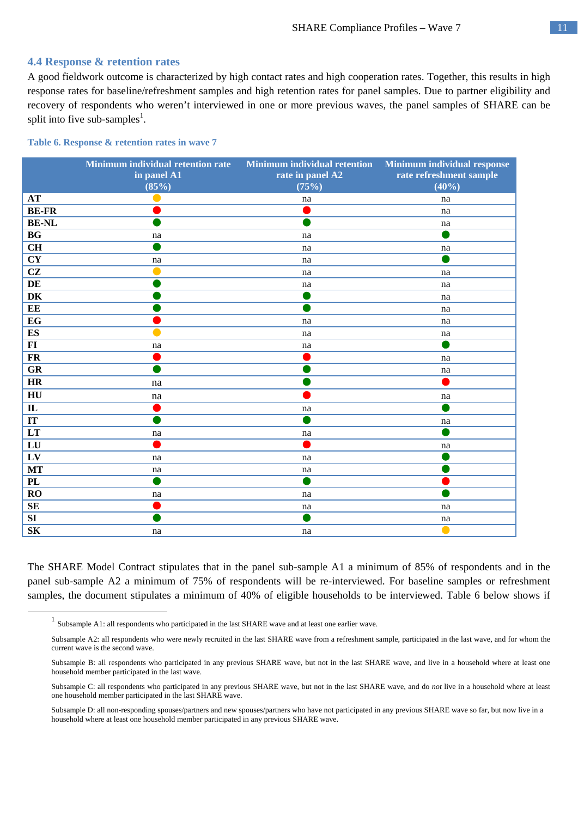#### **4.4 Response & retention rates**

A good fieldwork outcome is characterized by high contact rates and high cooperation rates. Together, this results in high response rates for baseline/refreshment samples and high retention rates for panel samples. Due to partner eligibility and recovery of respondents who weren't interviewed in one or more previous waves, the panel samples of SHARE can be split into five sub-samples<sup>1</sup>.

#### **Table 6. Response & retention rates in wave 7**

|                         | <b>Minimum individual retention rate</b><br>in panel A1<br>(85%) | Minimum individual retention Minimum individual response<br>rate in panel A2<br>(75%) | rate refreshment sample<br>(40%) |
|-------------------------|------------------------------------------------------------------|---------------------------------------------------------------------------------------|----------------------------------|
| <b>AT</b>               |                                                                  | na                                                                                    | na                               |
| <b>BE-FR</b>            |                                                                  |                                                                                       | na                               |
| <b>BE-NL</b>            |                                                                  |                                                                                       | na                               |
| BG                      | na                                                               | na                                                                                    | O                                |
| <b>CH</b>               |                                                                  | na                                                                                    | na                               |
| <b>CY</b>               | na                                                               | na                                                                                    |                                  |
| CZ                      | $\bullet$                                                        | na                                                                                    | na                               |
| DE                      |                                                                  | na                                                                                    | na                               |
| DK                      |                                                                  |                                                                                       | na                               |
| EE                      |                                                                  |                                                                                       | na                               |
| EG                      |                                                                  | na                                                                                    | na                               |
| ${\bf E}{\bf S}$        |                                                                  | na                                                                                    | na                               |
| $FI$                    | na                                                               | na                                                                                    | o l                              |
| <b>FR</b>               |                                                                  |                                                                                       | na                               |
| GR                      |                                                                  |                                                                                       | na                               |
| HR                      | na                                                               |                                                                                       |                                  |
| HU                      | na                                                               |                                                                                       | na                               |
| $\mathbf{I}$            |                                                                  | na                                                                                    | O                                |
| $\overline{\mathbf{I}}$ |                                                                  |                                                                                       | na                               |
| LT                      | na                                                               | na                                                                                    | $\bullet$                        |
| LU                      |                                                                  |                                                                                       | na                               |
| LV                      | na                                                               | na                                                                                    |                                  |
| $\bf MT$                | na                                                               | na                                                                                    |                                  |
| PL                      |                                                                  |                                                                                       |                                  |
| <b>RO</b>               | na                                                               | na                                                                                    |                                  |
| SE                      |                                                                  | na                                                                                    | na                               |
| ${\bf SI}$              |                                                                  | e e                                                                                   | na                               |
| <b>SK</b>               | na                                                               | na                                                                                    | $\bullet$                        |

The SHARE Model Contract stipulates that in the panel sub-sample A1 a minimum of 85% of respondents and in the panel sub-sample A2 a minimum of 75% of respondents will be re-interviewed. For baseline samples or refreshment samples, the document stipulates a minimum of 40% of eligible households to be interviewed. Table 6 below shows if

<sup>&</sup>lt;sup>1</sup> Subsample A1: all respondents who participated in the last SHARE wave and at least one earlier wave.

Subsample A2: all respondents who were newly recruited in the last SHARE wave from a refreshment sample, participated in the last wave, and for whom the current wave is the second wave.

Subsample B: all respondents who participated in any previous SHARE wave, but not in the last SHARE wave, and live in a household where at least one household member participated in the last wave.

Subsample C: all respondents who participated in any previous SHARE wave, but not in the last SHARE wave, and do *not* live in a household where at least one household member participated in the last SHARE wave.

Subsample D: all non-responding spouses/partners and new spouses/partners who have not participated in any previous SHARE wave so far, but now live in a household where at least one household member participated in any previous SHARE wave.